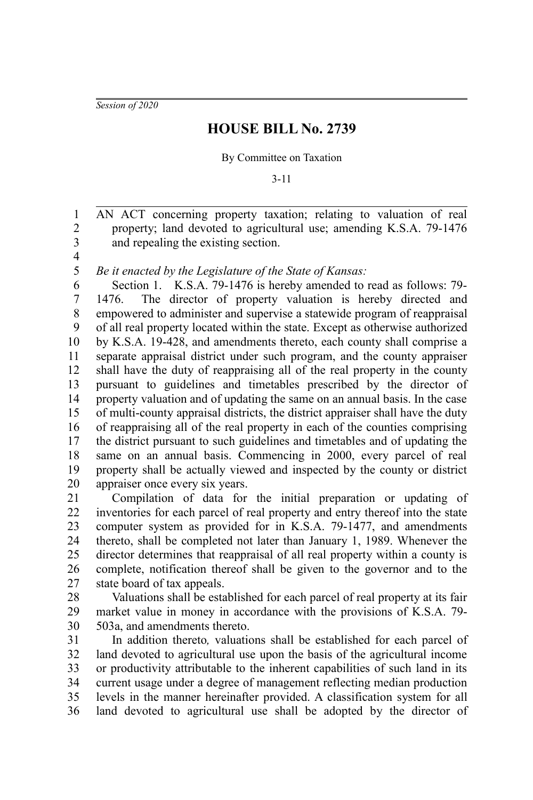*Session of 2020*

## **HOUSE BILL No. 2739**

## By Committee on Taxation

3-11

AN ACT concerning property taxation; relating to valuation of real property; land devoted to agricultural use; amending K.S.A. 79-1476 and repealing the existing section.

3 4 5

1 2

*Be it enacted by the Legislature of the State of Kansas:*

Section 1. K.S.A. 79-1476 is hereby amended to read as follows: 79- 1476. The director of property valuation is hereby directed and empowered to administer and supervise a statewide program of reappraisal of all real property located within the state. Except as otherwise authorized by K.S.A. 19-428, and amendments thereto, each county shall comprise a separate appraisal district under such program, and the county appraiser shall have the duty of reappraising all of the real property in the county pursuant to guidelines and timetables prescribed by the director of property valuation and of updating the same on an annual basis. In the case of multi-county appraisal districts, the district appraiser shall have the duty of reappraising all of the real property in each of the counties comprising the district pursuant to such guidelines and timetables and of updating the same on an annual basis. Commencing in 2000, every parcel of real property shall be actually viewed and inspected by the county or district appraiser once every six years. 6 7 8 9 10 11 12 13 14 15 16 17 18 19 20

Compilation of data for the initial preparation or updating of inventories for each parcel of real property and entry thereof into the state computer system as provided for in K.S.A. 79-1477, and amendments thereto, shall be completed not later than January 1, 1989. Whenever the director determines that reappraisal of all real property within a county is complete, notification thereof shall be given to the governor and to the state board of tax appeals. 21 22 23 24 25 26 27

Valuations shall be established for each parcel of real property at its fair market value in money in accordance with the provisions of K.S.A. 79- 503a, and amendments thereto. 28 29 30

In addition thereto*,* valuations shall be established for each parcel of land devoted to agricultural use upon the basis of the agricultural income or productivity attributable to the inherent capabilities of such land in its current usage under a degree of management reflecting median production levels in the manner hereinafter provided. A classification system for all land devoted to agricultural use shall be adopted by the director of 31 32 33 34 35 36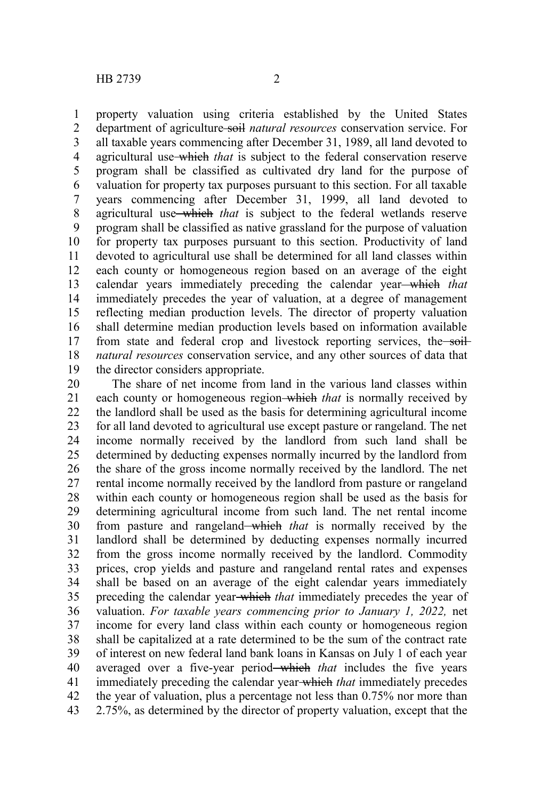property valuation using criteria established by the United States department of agriculture soil *natural resources* conservation service. For all taxable years commencing after December 31, 1989, all land devoted to agricultural use which *that* is subject to the federal conservation reserve program shall be classified as cultivated dry land for the purpose of valuation for property tax purposes pursuant to this section. For all taxable years commencing after December 31, 1999, all land devoted to agricultural use which *that* is subject to the federal wetlands reserve program shall be classified as native grassland for the purpose of valuation for property tax purposes pursuant to this section. Productivity of land devoted to agricultural use shall be determined for all land classes within each county or homogeneous region based on an average of the eight calendar years immediately preceding the calendar year which *that* immediately precedes the year of valuation, at a degree of management reflecting median production levels. The director of property valuation shall determine median production levels based on information available from state and federal crop and livestock reporting services, the soil*natural resources* conservation service, and any other sources of data that the director considers appropriate. 1 2 3 4 5 6 7 8 9 10 11 12 13 14 15 16 17 18 19

The share of net income from land in the various land classes within each county or homogeneous region-which *that* is normally received by the landlord shall be used as the basis for determining agricultural income for all land devoted to agricultural use except pasture or rangeland. The net income normally received by the landlord from such land shall be determined by deducting expenses normally incurred by the landlord from the share of the gross income normally received by the landlord. The net rental income normally received by the landlord from pasture or rangeland within each county or homogeneous region shall be used as the basis for determining agricultural income from such land. The net rental income from pasture and rangeland which *that* is normally received by the landlord shall be determined by deducting expenses normally incurred from the gross income normally received by the landlord. Commodity prices, crop yields and pasture and rangeland rental rates and expenses shall be based on an average of the eight calendar years immediately preceding the calendar year which *that* immediately precedes the year of valuation. *For taxable years commencing prior to January 1, 2022,* net income for every land class within each county or homogeneous region shall be capitalized at a rate determined to be the sum of the contract rate of interest on new federal land bank loans in Kansas on July 1 of each year averaged over a five-year period—which *that* includes the five years immediately preceding the calendar year which *that* immediately precedes the year of valuation, plus a percentage not less than 0.75% nor more than 2.75%, as determined by the director of property valuation, except that the 20 21 22 23 24 25 26 27 28 29 30 31 32 33 34 35 36 37 38 39 40 41 42 43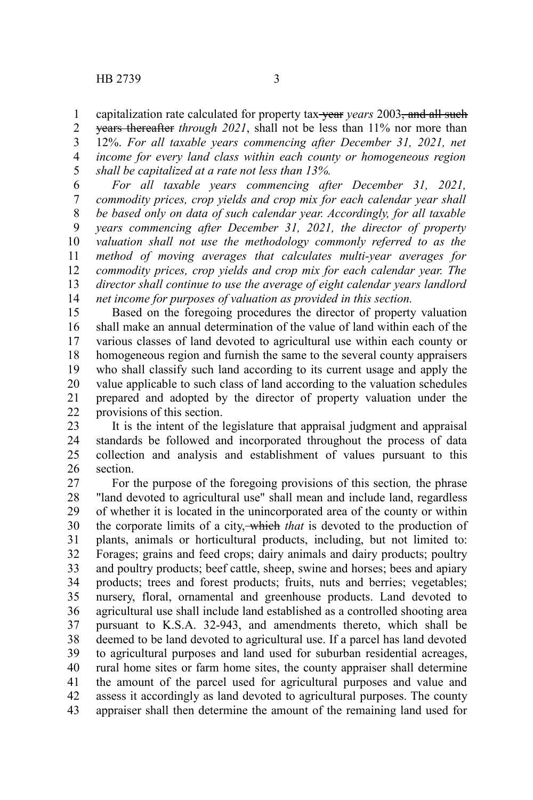capitalization rate calculated for property tax-vear *years* 2003, and all such years thereafter *through 2021*, shall not be less than 11% nor more than 1 2

12%. *For all taxable years commencing after December 31, 2021, net income for every land class within each county or homogeneous region shall be capitalized at a rate not less than 13%.* 3 4 5

*For all taxable years commencing after December 31, 2021, commodity prices, crop yields and crop mix for each calendar year shall be based only on data of such calendar year. Accordingly, for all taxable years commencing after December 31, 2021, the director of property valuation shall not use the methodology commonly referred to as the method of moving averages that calculates multi-year averages for commodity prices, crop yields and crop mix for each calendar year. The director shall continue to use the average of eight calendar years landlord net income for purposes of valuation as provided in this section.* 6 7 8 9 10 11 12 13 14

Based on the foregoing procedures the director of property valuation shall make an annual determination of the value of land within each of the various classes of land devoted to agricultural use within each county or homogeneous region and furnish the same to the several county appraisers who shall classify such land according to its current usage and apply the value applicable to such class of land according to the valuation schedules prepared and adopted by the director of property valuation under the provisions of this section. 15 16 17 18 19 20 21 22

It is the intent of the legislature that appraisal judgment and appraisal standards be followed and incorporated throughout the process of data collection and analysis and establishment of values pursuant to this section. 23 24 25 26

For the purpose of the foregoing provisions of this section*,* the phrase "land devoted to agricultural use" shall mean and include land, regardless of whether it is located in the unincorporated area of the county or within the corporate limits of a city, which *that* is devoted to the production of plants, animals or horticultural products, including, but not limited to: Forages; grains and feed crops; dairy animals and dairy products; poultry and poultry products; beef cattle, sheep, swine and horses; bees and apiary products; trees and forest products; fruits, nuts and berries; vegetables; nursery, floral, ornamental and greenhouse products. Land devoted to agricultural use shall include land established as a controlled shooting area pursuant to K.S.A. 32-943, and amendments thereto, which shall be deemed to be land devoted to agricultural use. If a parcel has land devoted to agricultural purposes and land used for suburban residential acreages, rural home sites or farm home sites, the county appraiser shall determine the amount of the parcel used for agricultural purposes and value and assess it accordingly as land devoted to agricultural purposes. The county appraiser shall then determine the amount of the remaining land used for 27 28 29 30 31 32 33 34 35 36 37 38 39 40 41 42 43